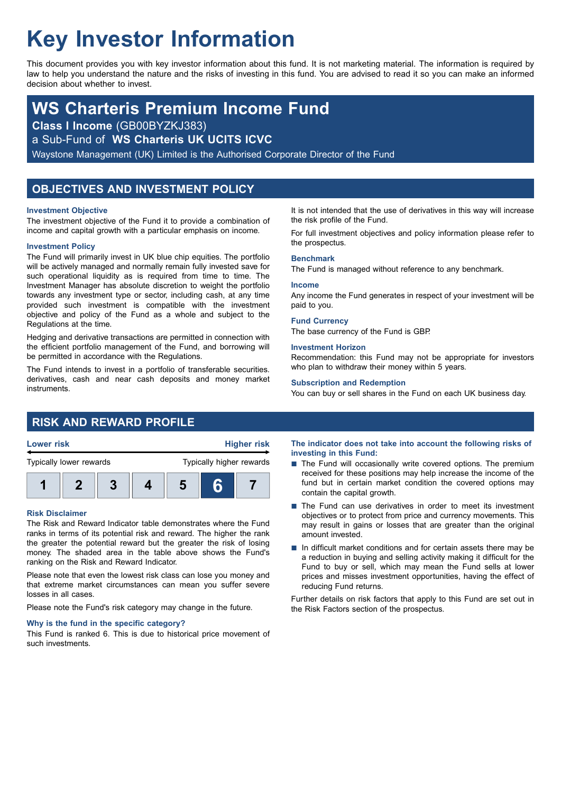# **Key Investor Information**

This document provides you with key investor information about this fund. It is not marketing material. The information is required by law to help you understand the nature and the risks of investing in this fund. You are advised to read it so you can make an informed decision about whether to invest.

## **WS Charteris Premium Income Fund**

**Class I Income** (GB00BYZKJ383)

a Sub-Fund of **WS Charteris UK UCITS ICVC**

Waystone Management (UK) Limited is the Authorised Corporate Director of the Fund

### **OBJECTIVES AND INVESTMENT POLICY**

### **Investment Objective**

The investment objective of the Fund it to provide a combination of income and capital growth with a particular emphasis on income.

### **Investment Policy**

The Fund will primarily invest in UK blue chip equities. The portfolio will be actively managed and normally remain fully invested save for such operational liquidity as is required from time to time. The Investment Manager has absolute discretion to weight the portfolio towards any investment type or sector, including cash, at any time provided such investment is compatible with the investment objective and policy of the Fund as a whole and subject to the Regulations at the time.

Hedging and derivative transactions are permitted in connection with the efficient portfolio management of the Fund, and borrowing will be permitted in accordance with the Regulations.

The Fund intends to invest in a portfolio of transferable securities. derivatives, cash and near cash deposits and money market instruments.

It is not intended that the use of derivatives in this way will increase the risk profile of the Fund.

For full investment objectives and policy information please refer to the prospectus.

### **Benchmark**

The Fund is managed without reference to any benchmark.

### **Income**

Any income the Fund generates in respect of your investment will be paid to you.

### **Fund Currency**

The base currency of the Fund is GBP.

### **Investment Horizon**

Recommendation: this Fund may not be appropriate for investors who plan to withdraw their money within 5 years.

### **Subscription and Redemption**

You can buy or sell shares in the Fund on each UK business day.

### **RISK AND REWARD PROFILE**



### **Risk Disclaimer**

The Risk and Reward Indicator table demonstrates where the Fund ranks in terms of its potential risk and reward. The higher the rank the greater the potential reward but the greater the risk of losing money. The shaded area in the table above shows the Fund's ranking on the Risk and Reward Indicator.

Please note that even the lowest risk class can lose you money and that extreme market circumstances can mean you suffer severe losses in all cases.

Please note the Fund's risk category may change in the future.

### **Why is the fund in the specific category?**

This Fund is ranked 6. This is due to historical price movement of such investments.

**The indicator does not take into account the following risks of investing in this Fund:**

- $\blacksquare$  The Fund will occasionally write covered options. The premium received for these positions may help increase the income of the fund but in certain market condition the covered options may contain the capital growth.
- The Fund can use derivatives in order to meet its investment objectives or to protect from price and currency movements. This may result in gains or losses that are greater than the original amount invested.
- $\blacksquare$  In difficult market conditions and for certain assets there may be a reduction in buying and selling activity making it difficult for the Fund to buy or sell, which may mean the Fund sells at lower prices and misses investment opportunities, having the effect of reducing Fund returns.

Further details on risk factors that apply to this Fund are set out in the Risk Factors section of the prospectus.